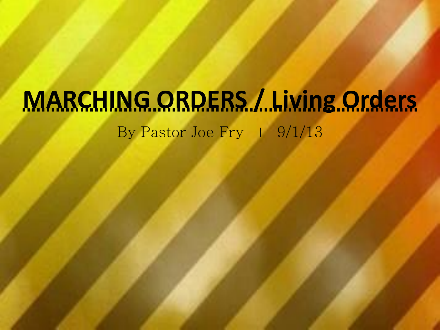# **MARCHING ORDERS / Living Orders** By Pastor Joe Fry 1 9/1/13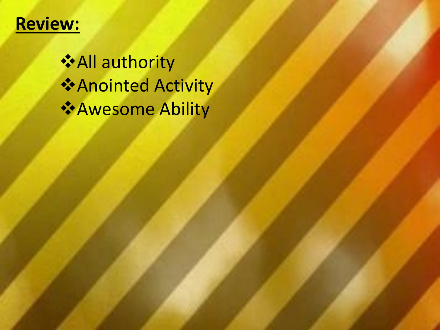## **Review:**

All authority Anointed Activity Awesome Ability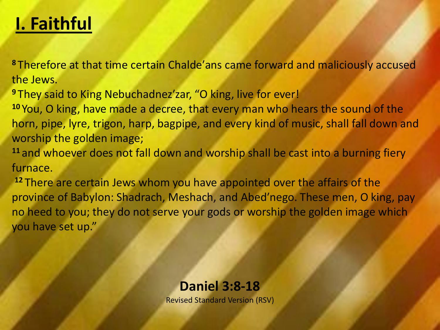# **I. Faithful**

**<sup>8</sup>** Therefore at that time certain Chalde′ans came forward and maliciously accused the Jews.

**<sup>9</sup>** They said to King Nebuchadnez′zar, "O king, live for ever!

**<sup>10</sup>** You, O king, have made a decree, that every man who hears the sound of the horn, pipe, lyre, trigon, harp, bagpipe, and every kind of music, shall fall down and worship the golden image;

**<sup>11</sup>** and whoever does not fall down and worship shall be cast into a burning fiery furnace.

**<sup>12</sup>** There are certain Jews whom you have appointed over the affairs of the province of Babylon: Shadrach, Meshach, and Abed′nego. These men, O king, pay no heed to you; they do not serve your gods or worship the golden image which you have set up."

#### **Daniel 3:8-18**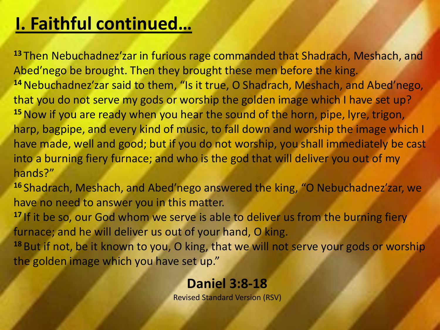# **I. Faithful continued…**

**<sup>13</sup>** Then Nebuchadnez′zar in furious rage commanded that Shadrach, Meshach, and Abed′nego be brought. Then they brought these men before the king. **<sup>14</sup>**Nebuchadnez′zar said to them, "Is it true, O Shadrach, Meshach, and Abed′nego, that you do not serve my gods or worship the golden image which I have set up? **<sup>15</sup>**Now if you are ready when you hear the sound of the horn, pipe, lyre, trigon, harp, bagpipe, and every kind of music, to fall down and worship the image which I have made, well and good; but if you do not worship, you shall immediately be cast into a burning fiery furnace; and who is the god that will deliver you out of my hands?"

**<sup>16</sup>** Shadrach, Meshach, and Abed′nego answered the king, "O Nebuchadnez′zar, we have no need to answer you in this matter.

<sup>17</sup> If it be so, our God whom we serve is able to deliver us from the burning fiery furnace; and he will deliver us out of your hand, O king.

**<sup>18</sup>** But if not, be it known to you, O king, that we will not serve your gods or worship the golden image which you have set up."

#### **Daniel 3:8-18**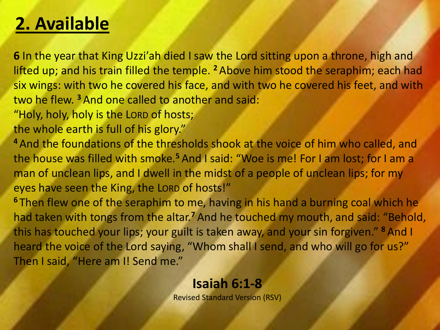## **2. Available**

**6** In the year that King Uzzi′ah died I saw the Lord sitting upon a throne, high and lifted up; and his train filled the temple. **<sup>2</sup>** Above him stood the seraphim; each had six wings: with two he covered his face, and with two he covered his feet, and with two he flew. **<sup>3</sup>** And one called to another and said:

"Holy, holy, holy is the LORD of hosts;

the whole earth is full of his glory."

**<sup>4</sup>** And the foundations of the thresholds shook at the voice of him who called, and the house was filled with smoke.**<sup>5</sup>** And I said: "Woe is me! For I am lost; for I am a man of unclean lips, and I dwell in the midst of a people of unclean lips; for my eyes have seen the King, the LORD of hosts!"

**<sup>6</sup>** Then flew one of the seraphim to me, having in his hand a burning coal which he had taken with tongs from the altar.**<sup>7</sup>** And he touched my mouth, and said: "Behold, this has touched your lips; your guilt is taken away, and your sin forgiven." **<sup>8</sup>** And I heard the voice of the Lord saying, "Whom shall I send, and who will go for us?" Then I said, "Here am I! Send me."

#### **Isaiah 6:1-8**